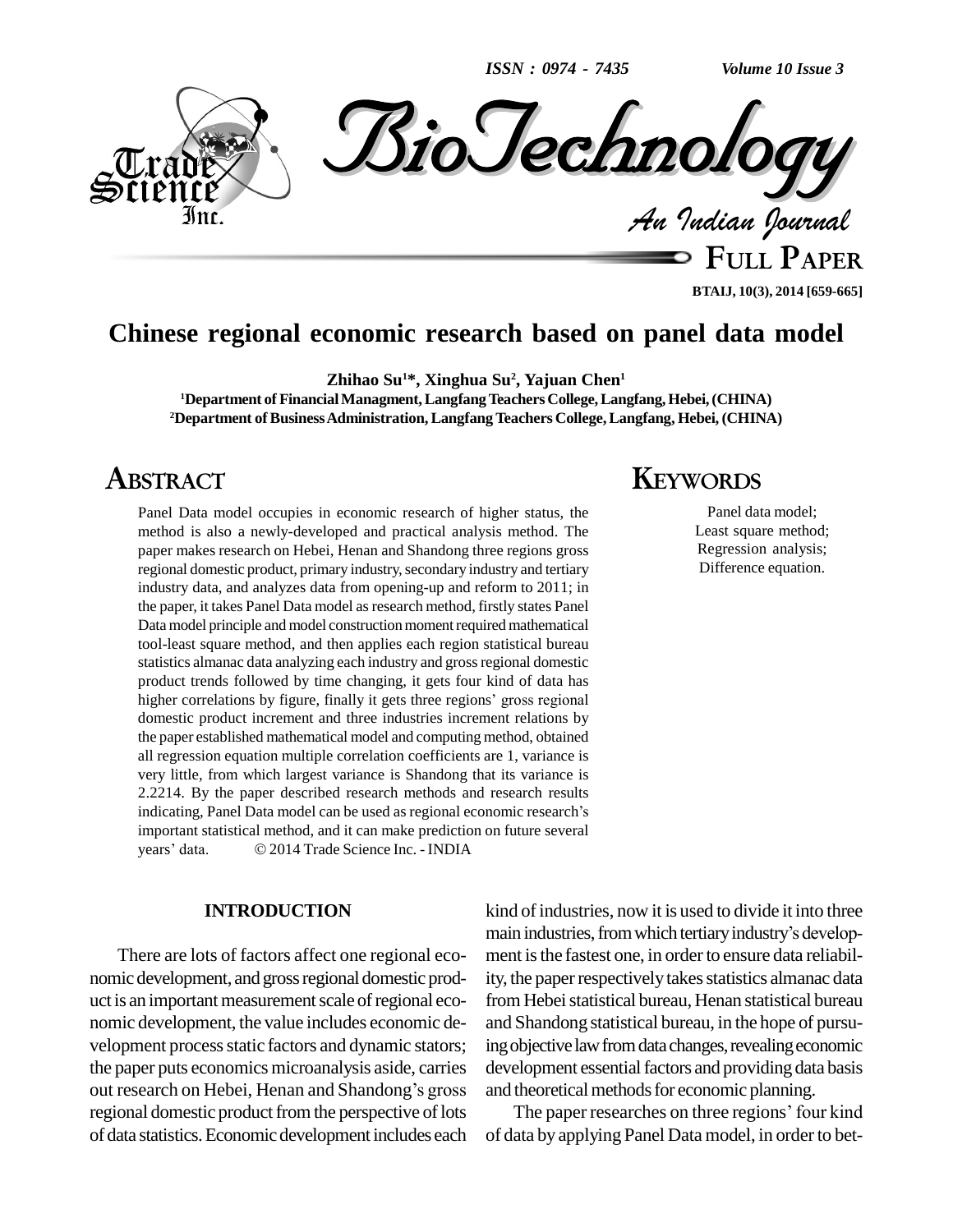*ISSN : 0974 - 7435*

*Volume 10 Issue 3*



**FULL PAPER**

### **BTAIJ, 10(3), 2014 [659-665]**

## **Chinese regional economic research based on panel data model**

**Zhihao Su <sup>1</sup>\*, Xinghua Su 2 , Yajuan Chen 1**

**<sup>1</sup>Department of FinancialManagment,LangfangTeachersCollege,Langfang,Hebei,(CHINA) <sup>2</sup>Department ofBusinessAdministration,LangfangTeachers College,Langfang, Hebei, (CHINA)**

## **ABSTRACT**

Panel Data model occupies in economic research of higher status, the method is also a newly-developed and practical analysis method. The paper makes research on Hebei, Henan and Shandong three regions gross regional domestic product, primary industry, secondary industry and tertiary industry data, and analyzes data from opening-up and reform to 2011; in the paper, it takes Panel Data model as research method, firstly states Panel Data model principle and model construction moment required mathematical tool-least square method, and then applies each region statistical bureau statistics almanac data analyzing each industry and grossregional domestic higher correlations by figure, finally it gets three regions<sup>í</sup> gross regional product trends followed by time changing, it gets four kind of data has domestic product increment and three industries increment relations by the paper established mathematical model and computing method, obtained all regression equation multiple correlation coefficients are 1, variance is very little, from which largest variance is Shandong that its variance is 2.2214. By the paper described research methods and research results indicating, Panel Data model can be used as regional economic research's 2.2214. By the paper described research methods and research results important statistical method, and it can make prediction on future several indicating, Panel Data model can be used as regional economic reset<br>important statistical method, and it can make prediction on future se<br>years' data. © 2014 Trade Science Inc. - INDIA

### **INTRODUCTION**

There are lots of factors affect one regional eco nomic development, andgrossregional domestic prod uct is an important measurement scale of regional economic development, the value includes economic de velopment process static factors and dynamic stators; ingo<br>the paper puts economics microanalysis aside, carries deve<br>out research on Hebei, Henan and Shandong's gross and t the paper puts economics microanalysis aside, carries regional domestic product from the perspective of lots of data statistics.Economic development includes each

## **KEYWORDS**

Panel data model; Least square method; Regression analysis; Difference equation.

kind of industries, now it is used to divide it into three main industries, from which tertiary industry's development is the fastest one, in order to ensure data reliability, the paper respectively takes statistics almanac data from Hebei statistical bureau, Henan statistical bureau and Shandong statistical bureau, in the hope of pursuing objective law from data changes, revealing economic development essential factors and providing data basis and theoretical methods for economic planning.

The paper researches on three regions' four kind of data by applying Panel Data model, in orderto bet-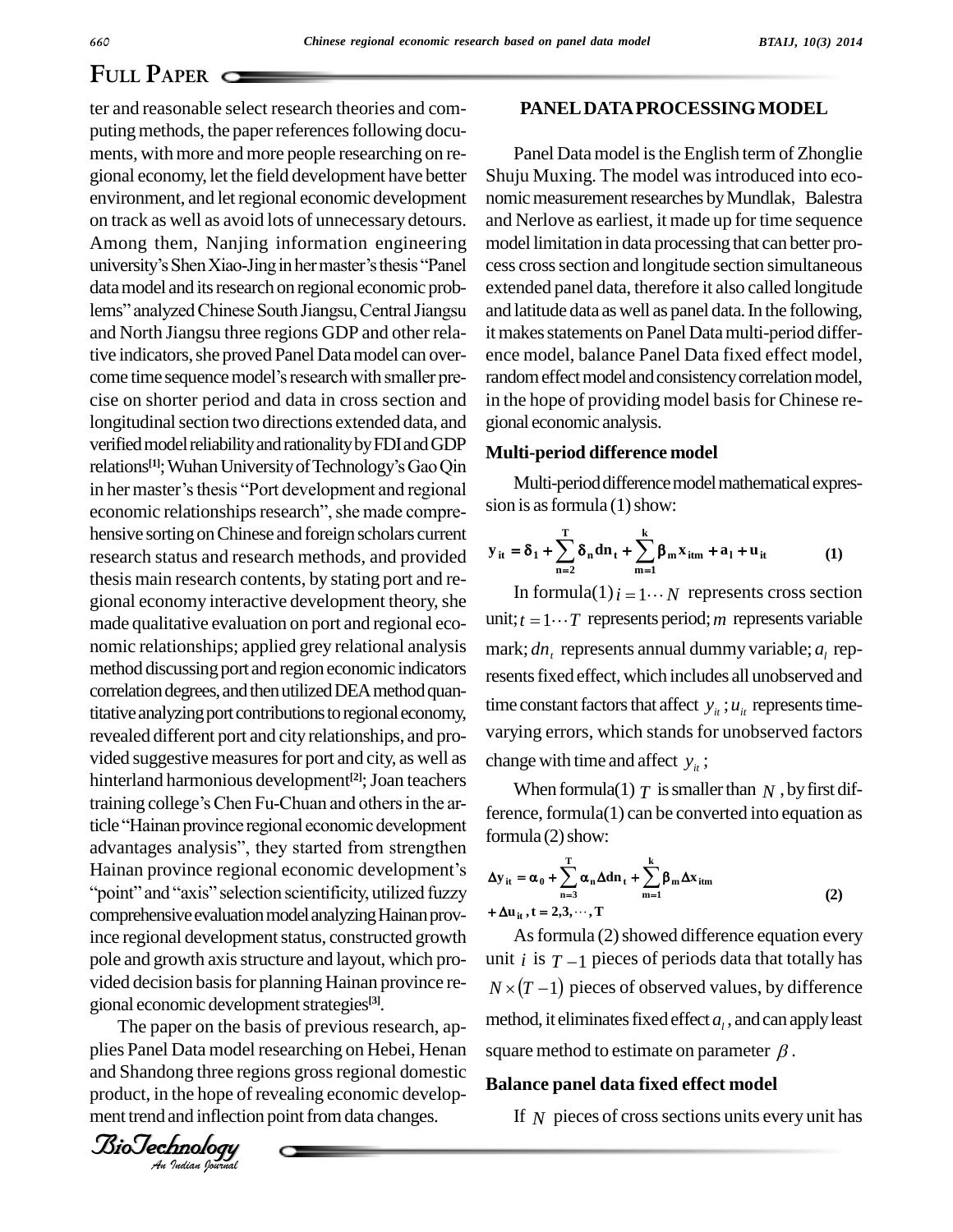#### *BTAIJ, 10(3) 2014*

## **FULL PAPER**

pole and growth axis structure and layout, which pro- unit<br>vided decision basis for planning Hainan province re-  $N\times$ ter and reasonable select research theories and com puting methods, the paper references following documents, with more and more people researching on re-<br>gional economy, let the field development have better environment, and letregional economic development on track as well as avoid lots of unnecessary detours. university's Shen Xiao-Jing in hermaster's thesis <sup>\*</sup>Panel ces Among them, Nanjing information engineering data model and its research on regional economic probuniversity's Shen Xiao-Jing in her master's thesis "Panel<br>data model and its research on regional economic prob-<br>lems" analyzed Chinese South Jiangsu, Central Jiangsu and North Jiangsu three regions GDP and other relative indicators, she proved Panel Data model can over- enc and North Jiangsu three regions GDP and other rela-<br>tive indicators, she proved Panel Data model can over-<br>come time sequence model's research with smaller precise on shorter period and data in cross section and longitudinal section two directions extended data, and verified model reliability and rationality by FDI and GDP longitudinal section two directions extended data, and<br>verified model reliability and rationality by FDI and GDP<br>relations<sup>[1]</sup>; Wuhan University of Technology's Gao Qin verified model reliability and rationality by FDI and GDP<br>relations<sup>[1]</sup>; Wuhan University of Technology's Gao Qin<br>in her master's thesis "Port development and regional relations<sup>[1]</sup>; Wuhan University of Technology's Gao Qin<br>in her master's thesis "Port development and regional<br>economic relationships research", she made comprehensive sorting on Chinese and foreign scholars current research status and research methods, and provided thesis main research contents, by stating port and regional economy interactive development theory, she made qualitative evaluation on port and regional eco nomic relationships; applied grey relational analysis method discussing port and region economic indicators correlation degrees, and then utilized DEA method quantitative analyzing port contributions to regional economy, revealed different port and city relationships, and pro vided suggestive measures for port and city, as well as hinterland harmonious development<sup>[2]</sup>; Joan teachers vided suggestive measures for port and city, as well as<br>hinterland harmonious development<sup>[2]</sup>; Joan teachers<br>training college's Chen Fu-Chuan and others in the arhinterland harmonious development<sup>[2]</sup>; Joan teachers<br>training college's Chen Fu-Chuan and others in the ar-<br>ticle "Hainan province regional economic development training college's Chen Fu-Chuan and others in the article "Hainan province regional economic development<br>advantages analysis", they started from strengthen ticle "Hainan province regional economic development<br>advantages analysis", they started from strengthen<br>Hainan province regional economic development's ges analysis", they started from strengthen<br>province regional economic development's<br>and "axis" selection scientificity, utilized fuzzy comprehensive evaluation model analyzing Hainan province regional development status, constructed growth pole and growth axis structure and layout, which progional economic development strategies<sup>[3]</sup>.

The paper on the basis of previous research, applies Panel Data model researching on Hebei, Henan and Shandong three regions gross regional domestic product, in the hope of revealing economic develop ment trend and inflection point from data changes.



### **PANELDATAPROCESSINGMODEL**

Panel Data model is the English term of Zhonglie Shuju Muxing. The model was introduced into economic measurement researches by Mundlak, Balestra and Nerlove as earliest, it made up for time sequence model limitation in data processing that can better process crosssection and longitude section simultaneous extended panel data, therefore it also called longitude and latitude data as well as panel data. In the following, it makes statements on Panel Data multi-period difference model, balance Panel Data fixed effect model, random effect model and consistency correlation model, in the hope of providing model basis for Chinese regional economic analysis.

### **Multi-period difference model**

Multi-period difference model mathematical expres-<br> **ion** is as formula (1) show:<br>  $\mathbf{y}_{it} = \delta_1 + \sum_{i=1}^{T} \delta_n \mathbf{d} \mathbf{n}_t + \sum_{i=1}^{K} \beta_m \mathbf{x}_{itm} + \mathbf{a}_1 + \mathbf{u}_{it}$  (1) sion is as formula  $(1)$  show:

$$
y_{it} = \delta_1 + \sum_{n=2}^{T} \delta_n dn_t + \sum_{m=1}^{k} \beta_m x_{itm} + a_1 + u_{it}
$$
 (1)

In formula(1) $i = 1 \cdots N$  represents cross section unit;  $t = 1 \cdots T$  represents period; *m* represents variable mark;  $dn_t$  represents annual dummy variable;  $a_t$  represents fixed effect, which includes all unobserved and time constant factors that affect  $y_i$ ;  $u_i$  represents timevarying errors, which stands for unobserved factors change with time and affect  $y_i$ ;

When formula(1)  $T$  is smaller than  $N$ , by first difference, formula(1) can be converted into equation as<br>formula (2) show:<br> $\Delta v_{tt} = \alpha_0 + \sum_{i=1}^{T} \alpha_i \Delta d\mathbf{n}_{t} + \sum_{i=1}^{K} \beta_{t} \Delta x_{t}$ formula  $(2)$  show:

$$
\Delta y_{it} = \alpha_0 + \sum_{n=3}^{T} \alpha_n \Delta d n_t + \sum_{m=1}^{k} \beta_m \Delta x_{itm}
$$
  
+  $\Delta u_{it}$ , t = 2,3,..., T (2)

As formula (2) showed difference equation every unit *i* is  $T-1$  pieces of periods data that totally has  $N \times (T-1)$  pieces of observed values, by difference method, it eliminates fixed effect  $a_l$  , and can apply least square method to estimate on parameter  $\beta$ .

### **Balance panel data fixed effect model**

If N pieces of cross sections units every unit has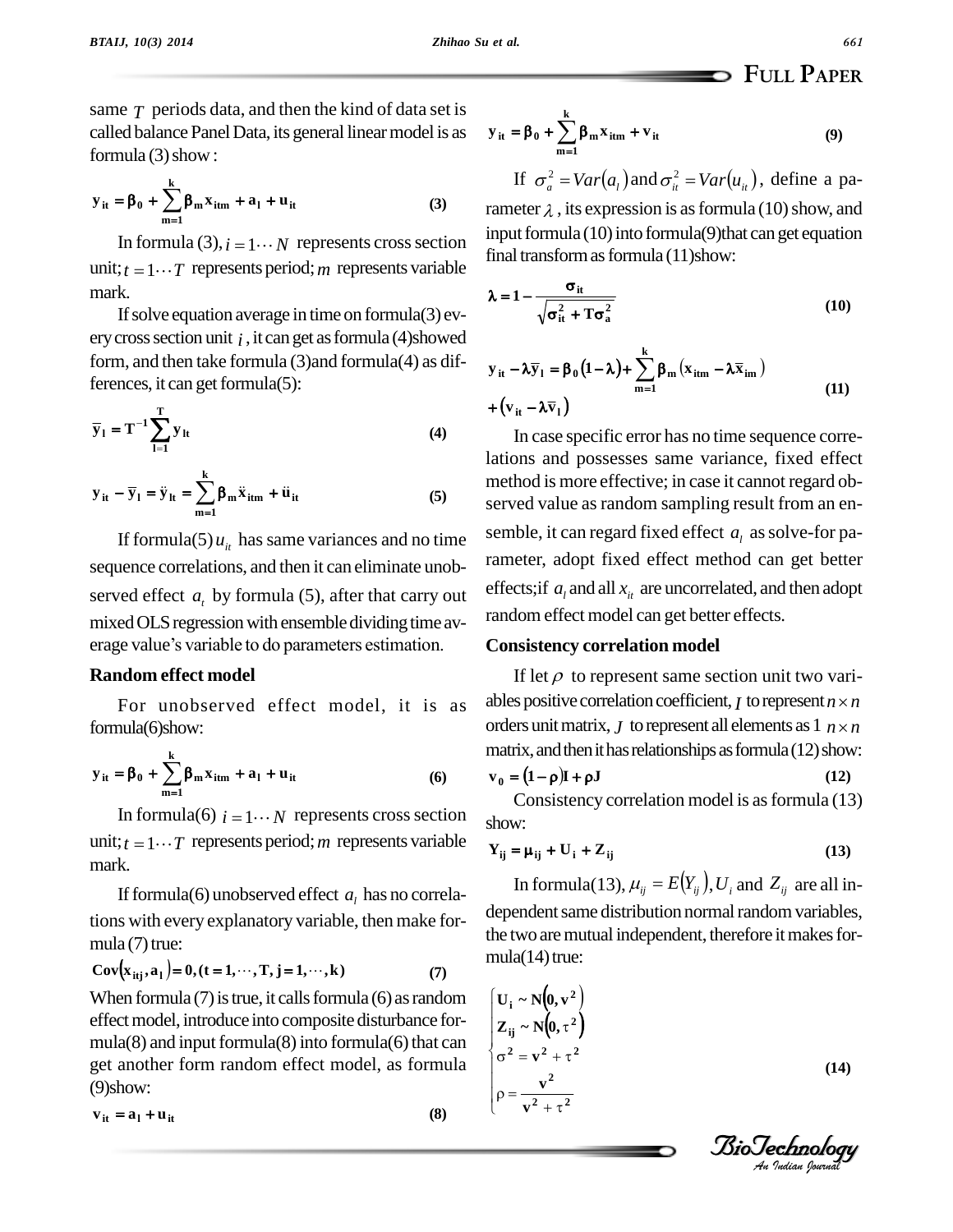same  $\tau$  periods data, and then the kind of data set is called balance Panel Data, its general linear model is as  $y_{it} =$ <br>formula (3) show:<br> $y_{it} = \beta_0 + \sum_{i}^{k} \beta_{in} x_{itm} + a_1 + u_{it}$  (3) rame formula  $(3)$  show:

$$
y_{it} = \beta_0 + \sum_{m=1}^{k} \beta_m x_{itm} + a_1 + u_{it}
$$
 (3)

In formula (3),  $i = 1 \cdots N$  represents cross section unit;  $t = 1 \cdots T$  represents period; m represents variable mark.

If solve equation average in time on formula(3) every cross section unit  $i$ , it can get as formula (4)showed form, and then take formula (3) and formula (4) as differences, it can get formula(5):<br> $= \sum_{n=1}^{\infty}$ 

$$
\overline{y}_1 = T^{-1} \sum_{l=1}^{T} y_{lt}
$$
\n
$$
y_{it} - \overline{y}_1 = \ddot{y}_{lt} = \sum_{l=1}^{K} \beta_{m} \ddot{x}_{itm} + \ddot{u}_{it}
$$
\n(4)

$$
y_{it} - \overline{y}_1 = \ddot{y}_{it} = \sum_{m=1}^{k} \beta_m \ddot{x}_{itm} + \ddot{u}_{it}
$$
 (5)

If formula(5)  $u_{it}$  has same variances and no time sequence correlations, and then it can eliminate unob served effect  $a_t$  by formula (5), after that carry out  $e^{iHt}$ mixed OLS regression with ensemble dividing time avserved effect  $a_t$  by formula (5), after that carry out<br>mixed OLS regression with ensemble dividing time av-<br>erage value's variable to do parameters estimation.

### **Random effect model**

For unobserved effect model, it is as ables<br>formula(6)show: order<br> $y_{it} = \beta_0 + \sum_{k=1}^{k} \beta_m x_{itm} + a_1 + u_{it}$  (6)  $v_0 =$ formula(6)show:

$$
y_{it} = \beta_0 + \sum_{m=1}^{k} \beta_m x_{itm} + a_1 + u_{it}
$$
 (6)

In formula(6)  $i = 1 \cdots N$  represents cross section unit;  $t = 1 \cdots T$  represents period; *m* represents variable mark.

If formula(6) unobserved effect  $a_l$  has no correlations with every explanatory variable, then make for-<br>mula (7) true:<br> $Cov\{x_{\text{}}a_1\} = 0, (t = 1, \dots, T, j = 1, \dots, k)$  (7) mula  $(7)$  true: 7) true:<br>  $\begin{aligned} i_{\text{trj}}, a_1 \end{aligned} = 0, (t = 1, \dots, T, j = 1, \dots, k)$  (7)

Cov
$$
(x_{itj}, a_1) = 0, (t = 1, \dots, T, j = 1, \dots, k)
$$
 (7)

When formula  $(7)$  is true, it calls formula  $(6)$  as random effect model, introduce into composite disturbance formula(8) and input formula(8) into formula(6) that can get another form random effect model, as formula (9)show: **it <sup>l</sup> <sup>u</sup>it <sup>v</sup> <sup>a</sup> (8)**

$$
\mathbf{v}_{it} = \mathbf{a}_1 + \mathbf{u}_{it}
$$

$$
\mathbf{FULL PAPER}
$$
  

$$
\mathbf{y}_{it} = \beta_0 + \sum_{m=1}^{k} \beta_m x_{itm} + \mathbf{v}_{it}
$$
 (9)  
If  $\sigma_a^2 = Var(a_t)$  and  $\sigma_a^2 = Var(u_u)$ , define a pa-

rameter  $\lambda$ , its expression is as formula (10) show, and input formula  $(10)$  into formula $(9)$ that can get equation final transform as formula (11)show:<br> $\lambda = 1 - \frac{\sigma_{it}}{t}$ 

$$
\lambda = 1 - \frac{\sigma_{it}}{\sqrt{\sigma_{it}^2 + T\sigma_{a}^2}}
$$
\n
$$
v_{it} - \lambda \overline{v}_{t} = \beta_0 (1 - \lambda) + \sum_{k=1}^{k} \beta_{kt} (x_{it} - \lambda \overline{x}_{it})
$$
\n(10)

$$
y_{it} - \lambda \overline{y}_1 = \beta_0 (1 - \lambda) + \sum_{m=1}^{k} \beta_m (x_{itm} - \lambda \overline{x}_{im})
$$
  
+  $(v_{it} - \lambda \overline{v}_1)$  (11)

In case specific error has no time sequence correlations and possesses same variance, fixed effect method is more effective; in case it cannot regard observed value as random sampling result from an ensemble, it can regard fixed effect  $a_l$  as solve-for parameter, adopt fixed effect method can get better effects;if  $a_l$  and all  $x_u$  are uncorrelated, and then adopt random effect model can get better effects.

### **Consistency correlation model**

If let  $\rho$  to represent same section unit two variables positive correlation coefficient, *I* to represent  $n \times n$ on unit two vari-<br>to represent  $n \times n$ orders unit matrix, *J* to represent all elements as  $1 \, n \times n$ matrix, and then it has relationships as formula (12) show:<br>  $\mathbf{v}_0 = (\mathbf{1} - \mathbf{\rho})\mathbf{I} + \mathbf{\rho}\mathbf{J}$  (12)

$$
\mathbf{v}_0 = (1 - \rho)\mathbf{I} + \rho \mathbf{J} \tag{12}
$$

Consistency correlation model is as formula (13) show: **EXECUTE SOMETHER CONSISTENCY CONCLUSION INDUCT IS AS FORMAL (15)<br>**  $Y_{ij} = \mu_{ij} + U_i + Z_{ij}$  **(13)** 

$$
Y_{ij} = \mu_{ij} + U_i + Z_{ij}
$$
 (13)

In formula(13),  $\mu_{ii} = E(Y_{ii}), U_i$  and  $Z_{ii}$  are all independent same distribution normal random variables, the two are mutual independent, therefore it makes for $mula(14)$  true:

mula(14) true:  
\n
$$
\begin{cases}\nU_{i} \sim N(0, v^{2}) \\
Z_{ij} \sim N(0, \tau^{2}) \\
\sigma^{2} = v^{2} + \tau^{2} \\
\rho = \frac{v^{2}}{v^{2} + \tau^{2}}\n\end{cases}
$$
\n(14)

*Indian Journal*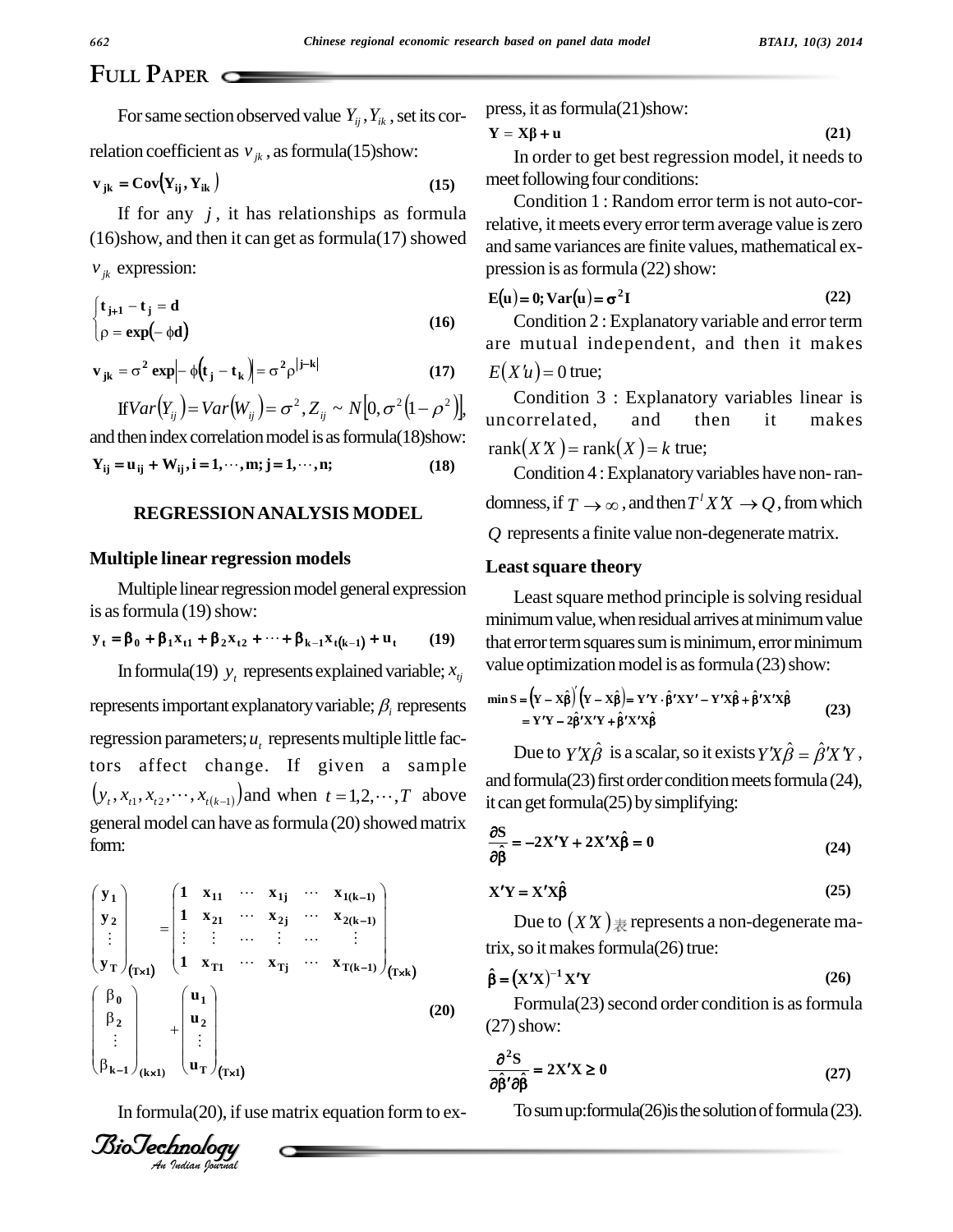# **FULL PAPER**

For same section observed value  $Y_{ij}$ ,  $Y_{ik}$  , set its cor-

relation coefficient as 
$$
v_{jk}
$$
, as formula(15)show:  
\n $\mathbf{v}_{jk} = \mathbf{Cov}(\mathbf{Y}_{ij}, \mathbf{Y}_{ik})$  (15)

If for any  $j$ , it has relationships as formula  $(16)$ show, and then it can get as formula $(17)$  showed  $v_{jk}$  expression:

$$
v_{jk} \text{ expression:} \qquad \text{p}
$$
\n
$$
\begin{cases}\n t_{j+1} - t_j = d \\
 \rho = \exp(-\phi d)\n\end{cases}
$$
\n(16)

$$
[\rho = \exp(-\phi d)]
$$
\nare  
\n
$$
\mathbf{v}_{jk} = \sigma^2 \exp[-\phi(t_j - t_k)] = \sigma^2 \rho^{|j-k|}
$$
\nare  
\n
$$
\text{If} \text{Var}(Y_{ij}) = \text{Var}(W_{ij}) = \sigma^2, Z_{ij} \sim N[0, \sigma^2(1 - \rho^2)],
$$
\nCon

and then index correlation model is as formula(18)show:<br>  $Y_{ij} = u_{ij} + W_{ij}$ ,  $i = 1, \dots, m; j = 1, \dots, n;$  (18)

### **REGRESSIONANALYSIS MODEL**

### **Multiple linear regression models**

Multiple linear regression model general expression is as formula (19) show:<br>  $y_t = \beta_0 + \beta_1 x_{t1} + \beta_2 x_{t2} + \dots + \beta_{k-1} x_{t(k-1)} + u_t$  (19) t

$$
y_{t} = \beta_{0} + \beta_{1}x_{t1} + \beta_{2}x_{t2} + \dots + \beta_{k-1}x_{t(k-1)} + u_{t}
$$
 (19)

In formula(19)  $y_t$  represents explained variable;  $x_{tj}$   $\quad$  value represents important explanatory variable;  $\beta$  represents  $regression parameters;  $u_t$  represents multiple little fac$ tors affect change. If given a sample  $\frac{1}{2}$ tors affect change. If given a sample<br>  $(y_t, x_{t1}, x_{t2}, \dots, x_{t(k-1)})$  and when  $t = 1, 2, \dots, T$  above  $\frac{d}{dt}$  and fo general model can have as formula (20) showed matrix form:

$$
\begin{pmatrix}\ny_1 \\
y_2 \\
\vdots \\
y_T\n\end{pmatrix}_{(Tx1)} = \begin{pmatrix}\n1 & x_{11} & \cdots & x_{1j} & \cdots & x_{1(k-1)} \\
1 & x_{21} & \cdots & x_{2j} & \cdots & x_{2(k-1)} \\
\vdots & \vdots & \cdots & \vdots & \cdots & \vdots \\
1 & x_{T1} & \cdots & x_{Tj} & \cdots & x_{T(k-1)}\n\end{pmatrix}_{(Txk)} \quad \text{if}
$$
\n
$$
\begin{pmatrix}\n\beta_0 \\
\beta_2 \\
\vdots \\
\beta_{k-1}\n\end{pmatrix}_{(k\times 1)} + \begin{pmatrix}\nu_1 \\
u_2 \\
\vdots \\
u_T\n\end{pmatrix}_{(Tx1)} \qquad (20)
$$

In formula(20), if use matrix equation form to  $ex-$ 



press, it as formula(21)show:  
\n
$$
Y = X\beta + u
$$
\n(21)

In order to get best regression model, it needs to meet following four conditions:

Condition 1 : Random error term is not auto-correlative, it meets every error term average value is zero and same variances are finite values, mathematical expression is as formula (22) show:<br>  $E(\mathbf{u}) = \mathbf{0}; \text{Var}(\mathbf{u}) = \sigma^2 \mathbf{I}$  (22)

$$
E(u) = 0; Var(u) = \sigma^2 I
$$
 (22)

Condition 2 : Explanatory variable and error term are mutual independent, and then it makes Condition 2 : Exp<br>are mutual indeper<br> $E(X'u) = 0$  true;

Condition 3 : Explanatory variables linear is uncorrelated, and then it makes rank $(X X)$  = rank $(X)$  = k true;

Condition 4 : Explanatory variables have non-ran-Condition 4 : Explanatory variables have non-ran-<br>domness, if  $T \rightarrow \infty$ , and then  $T^{\dagger} X X \rightarrow Q$ , from which <sup>2</sup>,<br>variables<br><sup>*l*</sup> X′X → *Q* represents a finite value non-degeneratematrix.

### **Leastsquare theory**

Least square method principle is solving residual minimum value, when residual arrives at minimum value that error term squares sum is minimum, error minimum value optimization model is as formula (23) show:<br>  $\min S = (\mathbf{Y} - \mathbf{X}\hat{\boldsymbol{\beta}})(\mathbf{Y} - \mathbf{X}\hat{\boldsymbol{\beta}}) = \mathbf{Y}'\mathbf{Y} \cdot \hat{\boldsymbol{\beta}}'\mathbf{X}\mathbf{Y}' - \mathbf{Y}'\mathbf{X}\hat{\boldsymbol{\beta}} + \hat{\boldsymbol{\beta}}'\mathbf{X}'\mathbf{X}\hat{\boldsymbol{\beta}}$ 

$$
\min S = (Y - X\hat{\beta})(Y - X\hat{\beta}) = Y'Y \cdot \hat{\beta}'XY' - Y'X\hat{\beta} + \hat{\beta}'X'X\hat{\beta}
$$
  
=  $Y'Y - 2\hat{\beta}'X'Y + \hat{\beta}'X'X\hat{\beta}$   
Due to  $Y'X\hat{\beta}$  is a scalar, so it exists  $Y'X\hat{\beta} = \hat{\beta}'X'Y$ ,

and formula( $23$ ) first order condition meets formula( $24$ ), **i** can get formula(25) by simplif<br> $\frac{\partial S}{\partial s} = -2X'Y + 2X'X\hat{\mathbf{B}} = 0$  $\mathbb{R}^2$ 

it can get formula(25) by simplifying:  
\n
$$
\frac{\partial S}{\partial \hat{\beta}} = -2X'Y + 2X'X\hat{\beta} = 0
$$
\n(24)  
\n
$$
X'Y = X'X\hat{\beta}
$$
\n(25)

$$
\mathbf{X}'\mathbf{Y} = \mathbf{X}'\mathbf{X}\hat{\boldsymbol{\beta}}\tag{25}
$$

Due to  $(XX)$   $*$  represents a non-degenerate matrix, so it makes formula(26) true:<br> $\hat{\beta} = (\mathbf{X}'\mathbf{X})^{-1}\mathbf{X}'\mathbf{Y}$ 

$$
\hat{\beta} = (X'X)^{-1}X'Y
$$
 (26)

Formula $(23)$  second order condition is as formula (27)show:

$$
\frac{\partial^2 S}{\partial \hat{\beta}^t \partial \hat{\beta}} = 2X'X \ge 0
$$
 (27)

To sum up: formula $(26)$  is the solution of formula  $(23)$ .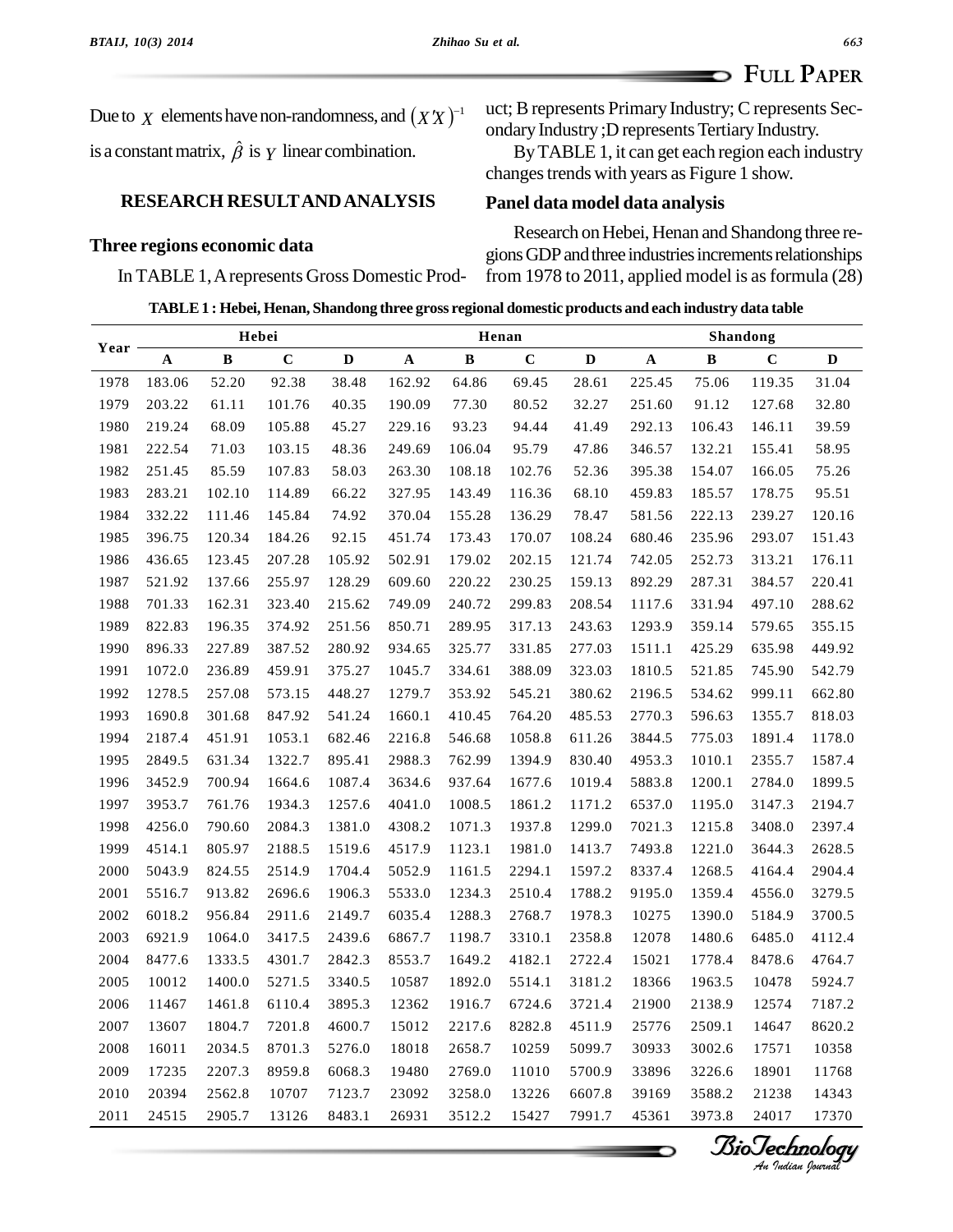**FULL PAPER**

Due to  $\chi$  elements have non-randomness, and  $(XX)^{-1}$  uct; B is a constant matrix,  $\hat{\beta}$  is  $\gamma$  linear combination.

### **RESEARCH RESULTANDANALYSIS**

### **Three regions economic data**

### In TABLE 1,Arepresents Gross Domestic Prod-

uct; B represents Primary Industry; C represents Secondary Industry ; D represents Tertiary Industry.

ByTABLE 1, it can get each region each industry changestrends with years as Figure 1 show.

### **Panel data model data analysis**

Research on Hebei, Henan and Shandong three regions GDP and three industries increments relationships from 1978 to 2011, applied model is as formula  $(28)$ 

**TABLE1 : Hebei, Henan, Shandong three gross regional domestic products and each industry data table**

| Year | Hebei       |              |             |              | Henan  |              |             |             | <b>Shandong</b> |        |             |             |
|------|-------------|--------------|-------------|--------------|--------|--------------|-------------|-------------|-----------------|--------|-------------|-------------|
|      | $\mathbf A$ | $\, {\bf B}$ | $\mathbf C$ | $\mathbf{D}$ | A      | $\, {\bf B}$ | $\mathbf C$ | $\mathbf D$ | $\mathbf A$     | B      | $\mathbf C$ | $\mathbf D$ |
| 1978 | 183.06      | 52.20        | 92.38       | 38.48        | 162.92 | 64.86        | 69.45       | 28.61       | 225.45          | 75.06  | 119.35      | 31.04       |
| 1979 | 203.22      | 61.11        | 101.76      | 40.35        | 190.09 | 77.30        | 80.52       | 32.27       | 251.60          | 91.12  | 127.68      | 32.80       |
| 1980 | 219.24      | 68.09        | 105.88      | 45.27        | 229.16 | 93.23        | 94.44       | 41.49       | 292.13          | 106.43 | 146.11      | 39.59       |
| 1981 | 222.54      | 71.03        | 103.15      | 48.36        | 249.69 | 106.04       | 95.79       | 47.86       | 346.57          | 132.21 | 155.41      | 58.95       |
| 1982 | 251.45      | 85.59        | 107.83      | 58.03        | 263.30 | 108.18       | 102.76      | 52.36       | 395.38          | 154.07 | 166.05      | 75.26       |
| 1983 | 283.21      | 102.10       | 114.89      | 66.22        | 327.95 | 143.49       | 116.36      | 68.10       | 459.83          | 185.57 | 178.75      | 95.51       |
| 1984 | 332.22      | 111.46       | 145.84      | 74.92        | 370.04 | 155.28       | 136.29      | 78.47       | 581.56          | 222.13 | 239.27      | 120.16      |
| 1985 | 396.75      | 120.34       | 184.26      | 92.15        | 451.74 | 173.43       | 170.07      | 108.24      | 680.46          | 235.96 | 293.07      | 151.43      |
| 1986 | 436.65      | 123.45       | 207.28      | 105.92       | 502.91 | 179.02       | 202.15      | 121.74      | 742.05          | 252.73 | 313.21      | 176.11      |
| 1987 | 521.92      | 137.66       | 255.97      | 128.29       | 609.60 | 220.22       | 230.25      | 159.13      | 892.29          | 287.31 | 384.57      | 220.41      |
| 1988 | 701.33      | 162.31       | 323.40      | 215.62       | 749.09 | 240.72       | 299.83      | 208.54      | 1117.6          | 331.94 | 497.10      | 288.62      |
| 1989 | 822.83      | 196.35       | 374.92      | 251.56       | 850.71 | 289.95       | 317.13      | 243.63      | 1293.9          | 359.14 | 579.65      | 355.15      |
| 1990 | 896.33      | 227.89       | 387.52      | 280.92       | 934.65 | 325.77       | 331.85      | 277.03      | 1511.1          | 425.29 | 635.98      | 449.92      |
| 1991 | 1072.0      | 236.89       | 459.91      | 375.27       | 1045.7 | 334.61       | 388.09      | 323.03      | 1810.5          | 521.85 | 745.90      | 542.79      |
| 1992 | 1278.5      | 257.08       | 573.15      | 448.27       | 1279.7 | 353.92       | 545.21      | 380.62      | 2196.5          | 534.62 | 999.11      | 662.80      |
| 1993 | 1690.8      | 301.68       | 847.92      | 541.24       | 1660.1 | 410.45       | 764.20      | 485.53      | 2770.3          | 596.63 | 1355.7      | 818.03      |
| 1994 | 2187.4      | 451.91       | 1053.1      | 682.46       | 2216.8 | 546.68       | 1058.8      | 611.26      | 3844.5          | 775.03 | 1891.4      | 1178.0      |
| 1995 | 2849.5      | 631.34       | 1322.7      | 895.41       | 2988.3 | 762.99       | 1394.9      | 830.40      | 4953.3          | 1010.1 | 2355.7      | 1587.4      |
| 1996 | 3452.9      | 700.94       | 1664.6      | 1087.4       | 3634.6 | 937.64       | 1677.6      | 1019.4      | 5883.8          | 1200.1 | 2784.0      | 1899.5      |
| 1997 | 3953.7      | 761.76       | 1934.3      | 1257.6       | 4041.0 | 1008.5       | 1861.2      | 1171.2      | 6537.0          | 1195.0 | 3147.3      | 2194.7      |
| 1998 | 4256.0      | 790.60       | 2084.3      | 1381.0       | 4308.2 | 1071.3       | 1937.8      | 1299.0      | 7021.3          | 1215.8 | 3408.0      | 2397.4      |
| 1999 | 4514.1      | 805.97       | 2188.5      | 1519.6       | 4517.9 | 1123.1       | 1981.0      | 1413.7      | 7493.8          | 1221.0 | 3644.3      | 2628.5      |
| 2000 | 5043.9      | 824.55       | 2514.9      | 1704.4       | 5052.9 | 1161.5       | 2294.1      | 1597.2      | 8337.4          | 1268.5 | 4164.4      | 2904.4      |
| 2001 | 5516.7      | 913.82       | 2696.6      | 1906.3       | 5533.0 | 1234.3       | 2510.4      | 1788.2      | 9195.0          | 1359.4 | 4556.0      | 3279.5      |
| 2002 | 6018.2      | 956.84       | 2911.6      | 2149.7       | 6035.4 | 1288.3       | 2768.7      | 1978.3      | 10275           | 1390.0 | 5184.9      | 3700.5      |
| 2003 | 6921.9      | 1064.0       | 3417.5      | 2439.6       | 6867.7 | 1198.7       | 3310.1      | 2358.8      | 12078           | 1480.6 | 6485.0      | 4112.4      |
| 2004 | 8477.6      | 1333.5       | 4301.7      | 2842.3       | 8553.7 | 1649.2       | 4182.1      | 2722.4      | 15021           | 1778.4 | 8478.6      | 4764.7      |
| 2005 | 10012       | 1400.0       | 5271.5      | 3340.5       | 10587  | 1892.0       | 5514.1      | 3181.2      | 18366           | 1963.5 | 10478       | 5924.7      |
| 2006 | 11467       | 1461.8       | 6110.4      | 3895.3       | 12362  | 1916.7       | 6724.6      | 3721.4      | 21900           | 2138.9 | 12574       | 7187.2      |
| 2007 | 13607       | 1804.7       | 7201.8      | 4600.7       | 15012  | 2217.6       | 8282.8      | 4511.9      | 25776           | 2509.1 | 14647       | 8620.2      |
| 2008 | 16011       | 2034.5       | 8701.3      | 5276.0       | 18018  | 2658.7       | 10259       | 5099.7      | 30933           | 3002.6 | 17571       | 10358       |
| 2009 | 17235       | 2207.3       | 8959.8      | 6068.3       | 19480  | 2769.0       | 11010       | 5700.9      | 33896           | 3226.6 | 18901       | 11768       |
| 2010 | 20394       | 2562.8       | 10707       | 7123.7       | 23092  | 3258.0       | 13226       | 6607.8      | 39169           | 3588.2 | 21238       | 14343       |
| 2011 | 24515       | 2905.7       | 13126       | 8483.1       | 26931  | 3512.2       | 15427       | 7991.7      | 45361           | 3973.8 | 24017       | 17370       |

*BioTechnology*<br>An *Indian Journal*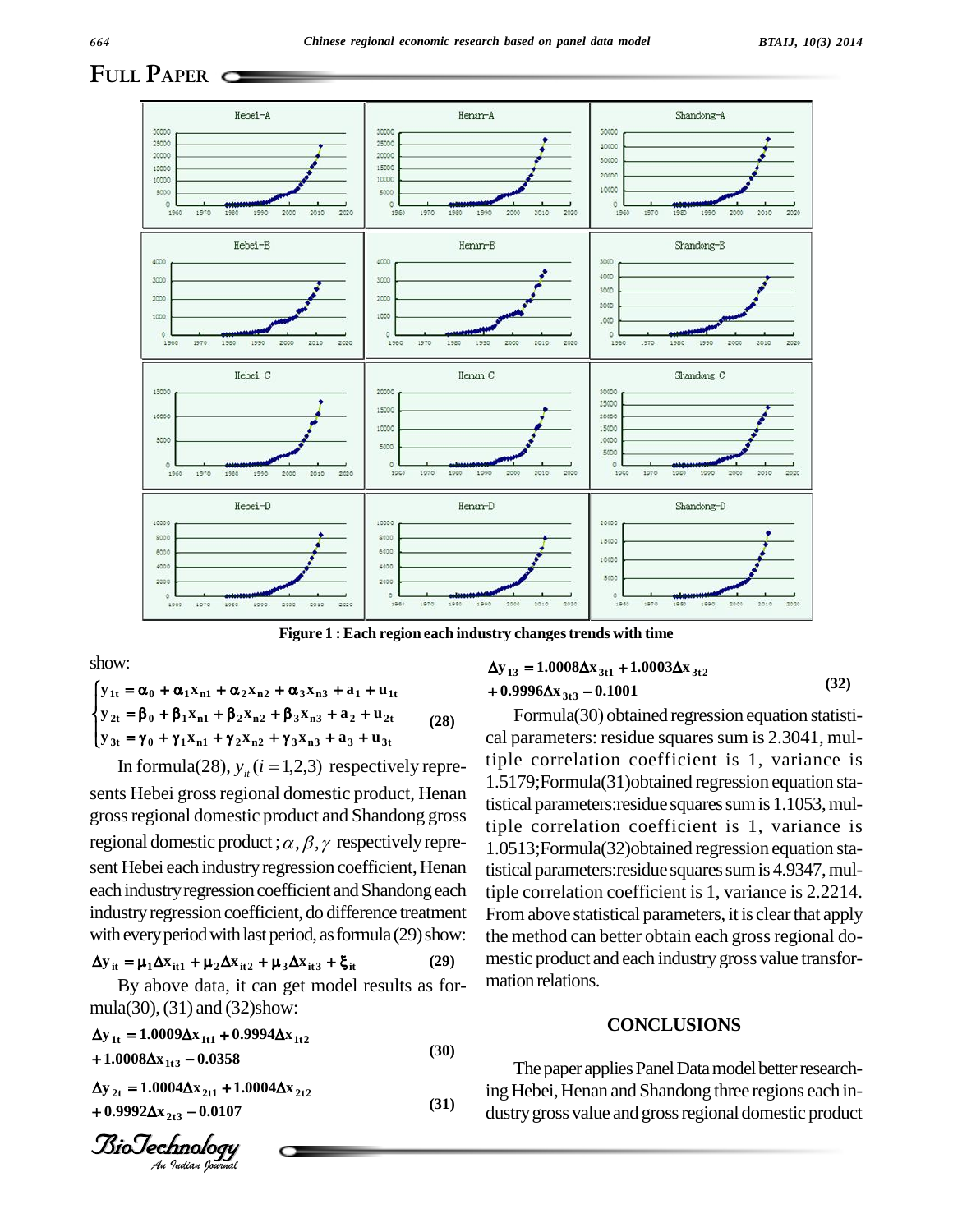### **FULL PAPER**



i<br>L

show:  $\mathbf{r}$  $\ddot{\phantom{0}}$ 

show:  
\n
$$
\begin{cases}\n\mathbf{y}_{1t} = \alpha_0 + \alpha_1 \mathbf{x}_{n1} + \alpha_2 \mathbf{x}_{n2} + \alpha_3 \mathbf{x}_{n3} + \mathbf{a}_1 + \mathbf{u}_{1t} + \mathbf{0}.\n\end{cases}
$$
\n
$$
\begin{cases}\n\mathbf{y}_{1t} = \alpha_0 + \alpha_1 \mathbf{x}_{n1} + \alpha_2 \mathbf{x}_{n2} + \alpha_3 \mathbf{x}_{n3} + \mathbf{a}_1 + \mathbf{u}_{1t} + \mathbf{0}.\n\end{cases}
$$
\n
$$
\begin{cases}\n\mathbf{y}_{2t} = \beta_0 + \beta_1 \mathbf{x}_{n1} + \beta_2 \mathbf{x}_{n2} + \beta_3 \mathbf{x}_{n3} + \mathbf{a}_2 + \mathbf{u}_{2t} \\
\mathbf{y}_{3t} = \gamma_0 + \gamma_1 \mathbf{x}_{n1} + \gamma_2 \mathbf{x}_{n2} + \gamma_3 \mathbf{x}_{n3} + \mathbf{a}_3 + \mathbf{u}_{3t}\n\end{cases}
$$
\n
$$
\begin{cases}\n\text{can be given by } \mathbf{y}_{1t} = \mathbf{y}_{1t} \\
\text{In formula (28), } \mathbf{y}_{1t} \ (i = 1, 2, 3)\n\end{cases}
$$
\n
$$
\begin{cases}\n\mathbf{y}_{2t} = \mathbf{y}_{0t} + \gamma_1 \mathbf{x}_{n1} + \gamma_2 \mathbf{x}_{n2} + \gamma_3 \mathbf{x}_{n3} + \mathbf{a}_2 + \mathbf{u}_{2t} \\
\text{or } \mathbf{y}_{1t} = \mathbf{y}_{0t} + \gamma_1 \mathbf{x}_{n1} + \gamma_2 \mathbf{x}_{n2} + \gamma_3 \mathbf{x}_{n3} + \mathbf{a}_3 + \mathbf{u}_{3t}\n\end{cases}
$$
\n
$$
\begin{cases}\n\mathbf{y}_{2t} = \beta_0 + \beta_1 \mathbf{x}_{n1} + \gamma_2 \mathbf{x}_{n2} + \beta_3 \mathbf{x}_{n3} + \mathbf{a}_2 + \mathbf{u}_{2t} \\
\mathbf{y}_{3t} = \gamma_0 + \gamma_1 \mathbf{x}_{n1} + \gamma_2 \mathbf{x}_{n2} + \gamma_3 \mathbf{x}_{n3} + \mathbf{
$$

sents Hebei gross regional domestic product, Henan grossregional domestic product and Shandong gross regional domestic product ;  $\alpha$ ,  $\beta$ ,  $\gamma$  respectively represent Hebei each industry regression coefficient, Henan each industry regression coefficient and Shandong each industryregression coefficient, do difference treatment with every period with last period, as formula (29) show: the  $\Delta y_{it} = \mu_1 \Delta x_{it1} + \mu_2 \Delta x_{it2} + \mu_3 \Delta x_{it3} + \xi_{it}$  (29)

$$
\Delta y_{it} = \mu_1 \Delta x_{it1} + \mu_2 \Delta x_{it2} + \mu_3 \Delta x_{it3} + \xi_{it}
$$
 (29)

 $\Delta y_{it} = \mu_1 \Delta x_{it1} + \mu_2 \Delta x_{it2} + \mu_3 \Delta x_{it3} + \xi_{it}$  (29) mes<br>By above data, it can get model results as formula(30),(31) and (32)show:

 $y_{1t} = 1.0009 \Delta x_{1t1} + 0.9994 \Delta x_{1t2}$  $1.0008\Delta x_{1t3} - 0.0358$ mula(30), (31) and (32)show:<br>  $\Delta y_{1t} = 1.0009 \Delta x_{1t1} + 0.9994 \Delta x_{1t2}$ <br>  $+ 1.0008 \Delta x_{1t3} - 0.0358$ **(30) y**  $_{2t}$  = 1.0004 $\Delta$ **x**  $_{2t1}$  + 1.0004 $\Delta$ **x**  $_{2t2}$ + 1.0008 $\Delta$ x<sub>1t3</sub> - 0.0358<br>  $\Delta$ y<sub>2t</sub> = 1.0004 $\Delta$ x<sub>2t1</sub> + 1.0004 $\Delta$ x<sub>2t2</sub><br>
+ 0.9992 $\Delta$ x<sub>2t2</sub> - 0.0107

 $0.9992\Delta x_{2t3} - 0.0107$ 

*Indian Journal*

Figure 1 : Each region each industry changes trends with time  
\n
$$
\Delta y_{13} = 1.0008 \Delta x_{3t1} + 1.0003 \Delta x_{3t2}
$$
\n
$$
+ \alpha_3 x_{n3} + a_1 + u_{1t} + 0.9996 \Delta x_{3t3} - 0.1001
$$
\n(32)

Formula(30) obtained regression equation statisti cal parameters: residue squares sum is 2.3041, multiple correlation coefficient is 1, variance is 1.5179;Formula(31)obtained regression equation statistical parameters: residue squares sum is 1.1053, multiple correlation coefficient is 1, variance is 1.0513;Formula(32)obtained regression equation statistical parameters: residue squares sum is 4.9347, multiple correlation coefficient is 1, variance is 2.2214. From above statistical parameters, it is clear that apply the method can better obtain each gross regional domestic product and each industrygross value transfor mation relations.

### **CONCLUSIONS**

ing Hebei, Henan and Shandong three regions each in-<br>(31) The paper applies Panel Data model better researchdustry gross value and gross regional domestic product